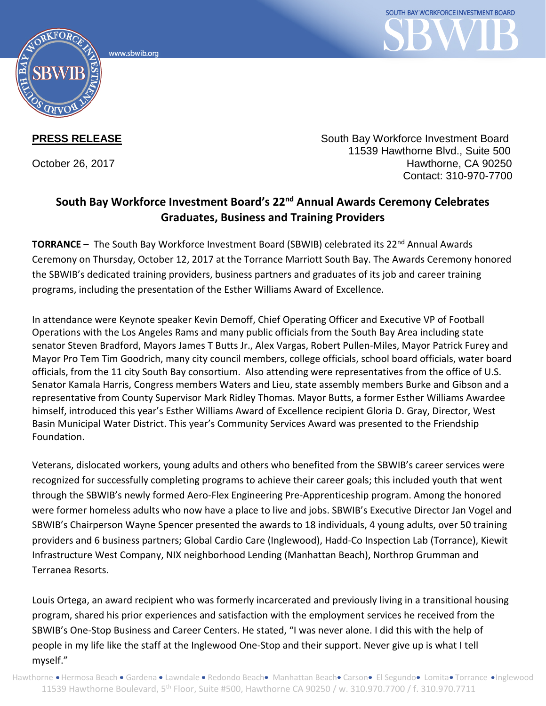



**PRESS RELEASE** The South Bay Workforce Investment Board 11539 Hawthorne Blvd., Suite 500 October 26, 2017 Hawthorne, CA 90250 Contact: 310-970-7700

## **South Bay Workforce Investment Board's 22nd Annual Awards Ceremony Celebrates Graduates, Business and Training Providers**

**TORRANCE** - The South Bay Workforce Investment Board (SBWIB) celebrated its 22<sup>nd</sup> Annual Awards Ceremony on Thursday, October 12, 2017 at the Torrance Marriott South Bay. The Awards Ceremony honored the SBWIB's dedicated training providers, business partners and graduates of its job and career training programs, including the presentation of the Esther Williams Award of Excellence.

In attendance were Keynote speaker Kevin Demoff, Chief Operating Officer and Executive VP of Football Operations with the Los Angeles Rams and many public officials from the South Bay Area including state senator Steven Bradford, Mayors James T Butts Jr., Alex Vargas, Robert Pullen-Miles, Mayor Patrick Furey and Mayor Pro Tem Tim Goodrich, many city council members, college officials, school board officials, water board officials, from the 11 city South Bay consortium. Also attending were representatives from the office of U.S. Senator Kamala Harris, Congress members Waters and Lieu, state assembly members Burke and Gibson and a representative from County Supervisor Mark Ridley Thomas. Mayor Butts, a former Esther Williams Awardee himself, introduced this year's Esther Williams Award of Excellence recipient Gloria D. Gray, Director, West Basin Municipal Water District. This year's Community Services Award was presented to the Friendship Foundation.

Veterans, dislocated workers, young adults and others who benefited from the SBWIB's career services were recognized for successfully completing programs to achieve their career goals; this included youth that went through the SBWIB's newly formed Aero-Flex Engineering Pre-Apprenticeship program. Among the honored were former homeless adults who now have a place to live and jobs. SBWIB's Executive Director Jan Vogel and SBWIB's Chairperson Wayne Spencer presented the awards to 18 individuals, 4 young adults, over 50 training providers and 6 business partners; Global Cardio Care (Inglewood), Hadd-Co Inspection Lab (Torrance), Kiewit Infrastructure West Company, NIX neighborhood Lending (Manhattan Beach), Northrop Grumman and Terranea Resorts.

Louis Ortega, an award recipient who was formerly incarcerated and previously living in a transitional housing program, shared his prior experiences and satisfaction with the employment services he received from the SBWIB's One-Stop Business and Career Centers. He stated, "I was never alone. I did this with the help of people in my life like the staff at the Inglewood One-Stop and their support. Never give up is what I tell myself."